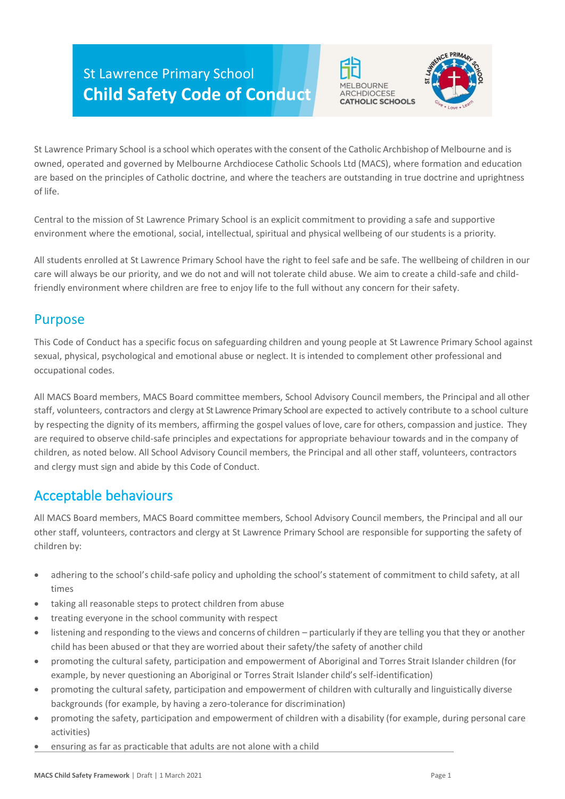# St Lawrence Primary School **Child Safety Code of Conduct**





St Lawrence Primary School is a school which operates with the consent of the Catholic Archbishop of Melbourne and is owned, operated and governed by Melbourne Archdiocese Catholic Schools Ltd (MACS), where formation and education are based on the principles of Catholic doctrine, and where the teachers are outstanding in true doctrine and uprightness of life.

Central to the mission of St Lawrence Primary School is an explicit commitment to providing a safe and supportive environment where the emotional, social, intellectual, spiritual and physical wellbeing of our students is a priority.

All students enrolled at St Lawrence Primary School have the right to feel safe and be safe. The wellbeing of children in our care will always be our priority, and we do not and will not tolerate child abuse. We aim to create a child-safe and childfriendly environment where children are free to enjoy life to the full without any concern for their safety.

# Purpose

This Code of Conduct has a specific focus on safeguarding children and young people at St Lawrence Primary School against sexual, physical, psychological and emotional abuse or neglect. It is intended to complement other professional and occupational codes.

All MACS Board members, MACS Board committee members, School Advisory Council members, the Principal and all other staff, volunteers, contractors and clergy at St Lawrence Primary School are expected to actively contribute to a school culture by respecting the dignity of its members, affirming the gospel values of love, care for others, compassion and justice. They are required to observe child-safe principles and expectations for appropriate behaviour towards and in the company of children, as noted below. All School Advisory Council members, the Principal and all other staff, volunteers, contractors and clergy must sign and abide by this Code of Conduct.

# Acceptable behaviours

All MACS Board members, MACS Board committee members, School Advisory Council members, the Principal and all our other staff, volunteers, contractors and clergy at St Lawrence Primary School are responsible for supporting the safety of children by:

- adhering to the school's child-safe policy and upholding the school's statement of commitment to child safety, at all times
- taking all reasonable steps to protect children from abuse
- treating everyone in the school community with respect
- listening and responding to the views and concerns of children particularly if they are telling you that they or another child has been abused or that they are worried about their safety/the safety of another child
- promoting the cultural safety, participation and empowerment of Aboriginal and Torres Strait Islander children (for example, by never questioning an Aboriginal or Torres Strait Islander child's self-identification)
- promoting the cultural safety, participation and empowerment of children with culturally and linguistically diverse backgrounds (for example, by having a zero-tolerance for discrimination)
- promoting the safety, participation and empowerment of children with a disability (for example, during personal care activities)
- ensuring as far as practicable that adults are not alone with a child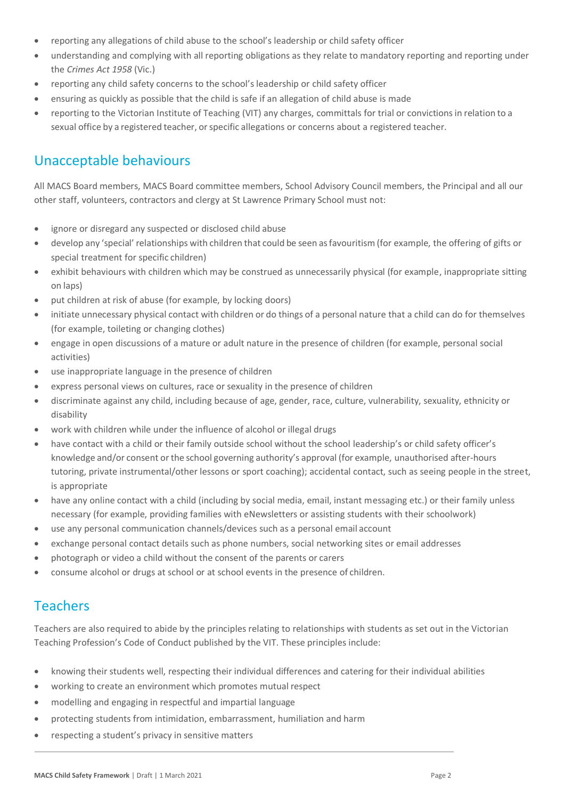- reporting any allegations of child abuse to the school's leadership or child safety officer
- understanding and complying with all reporting obligations as they relate to mandatory reporting and reporting under the *Crimes Act 1958* (Vic.)
- reporting any child safety concerns to the school's leadership or child safety officer
- ensuring as quickly as possible that the child is safe if an allegation of child abuse is made
- reporting to the Victorian Institute of Teaching (VIT) any charges, committals for trial or convictionsin relation to a sexual office by a registered teacher, or specific allegations or concerns about a registered teacher.

# Unacceptable behaviours

All MACS Board members, MACS Board committee members, School Advisory Council members, the Principal and all our other staff, volunteers, contractors and clergy at St Lawrence Primary School must not:

- ignore or disregard any suspected or disclosed child abuse
- develop any 'special' relationships with children that could be seen asfavouritism(for example, the offering of gifts or special treatment for specific children)
- exhibit behaviours with children which may be construed as unnecessarily physical (for example, inappropriate sitting on laps)
- put children at risk of abuse (for example, by locking doors)
- initiate unnecessary physical contact with children or do things of a personal nature that a child can do for themselves (for example, toileting or changing clothes)
- engage in open discussions of a mature or adult nature in the presence of children (for example, personal social activities)
- use inappropriate language in the presence of children
- express personal views on cultures, race or sexuality in the presence of children
- discriminate against any child, including because of age, gender, race, culture, vulnerability, sexuality, ethnicity or disability
- work with children while under the influence of alcohol or illegal drugs
- have contact with a child or their family outside school without the school leadership's or child safety officer's knowledge and/or consent or the school governing authority's approval (for example, unauthorised after-hours tutoring, private instrumental/other lessons or sport coaching); accidental contact, such as seeing people in the street, is appropriate
- have any online contact with a child (including by social media, email, instant messaging etc.) or their family unless necessary (for example, providing families with eNewsletters or assisting students with their schoolwork)
- use any personal communication channels/devices such as a personal email account
- exchange personal contact details such as phone numbers, social networking sites or email addresses
- photograph or video a child without the consent of the parents or carers
- consume alcohol or drugs at school or at school events in the presence of children.

#### **Teachers**

Teachers are also required to abide by the principles relating to relationships with students as set out in the Victorian Teaching Profession's Code of Conduct published by the VIT. These principles include:

- knowing their students well, respecting their individual differences and catering for their individual abilities
- working to create an environment which promotes mutual respect
- modelling and engaging in respectful and impartial language
- protecting students from intimidation, embarrassment, humiliation and harm
- respecting a student's privacy in sensitive matters